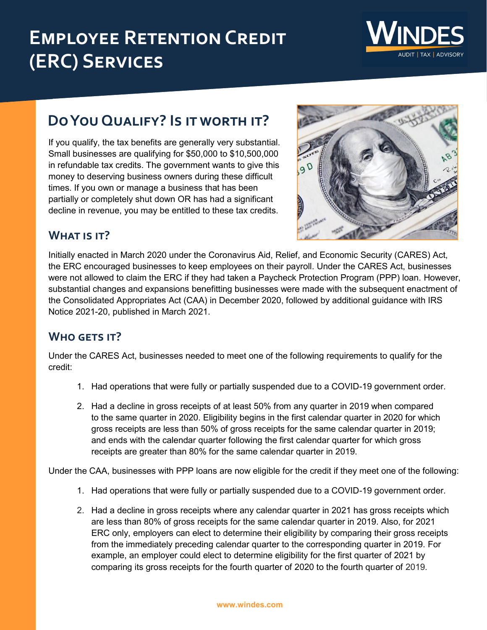# **EMPLOYEE RETENTION CREDIT (ERC) Services**



# **Do You Qualify? Is it worth it?**

If you qualify, the tax benefits are generally very substantial. Small businesses are qualifying for \$50,000 to \$10,500,000 in refundable tax credits. The government wants to give this money to deserving business owners during these difficult times. If you own or manage a business that has been partially or completely shut down OR has had a significant decline in revenue, you may be entitled to these tax credits.



## **What is it?**

Initially enacted in March 2020 under the Coronavirus Aid, Relief, and Economic Security (CARES) Act, the ERC encouraged businesses to keep employees on their payroll. Under the CARES Act, businesses were not allowed to claim the ERC if they had taken a Paycheck Protection Program (PPP) loan. However, substantial changes and expansions benefitting businesses were made with the subsequent enactment of the Consolidated Appropriates Act (CAA) in December 2020, followed by additional guidance with IRS Notice 2021-20, published in March 2021.

# **Who gets it?**

Under the CARES Act, businesses needed to meet one of the following requirements to qualify for the credit:

- 1. Had operations that were fully or partially suspended due to a COVID-19 government order.
- 2. Had a decline in gross receipts of at least 50% from any quarter in 2019 when compared to the same quarter in 2020. Eligibility begins in the first calendar quarter in 2020 for which gross receipts are less than 50% of gross receipts for the same calendar quarter in 2019; and ends with the calendar quarter following the first calendar quarter for which gross receipts are greater than 80% for the same calendar quarter in 2019.

Under the CAA, businesses with PPP loans are now eligible for the credit if they meet one of the following:

- 1. Had operations that were fully or partially suspended due to a COVID-19 government order.
- 2. Had a decline in gross receipts where any calendar quarter in 2021 has gross receipts which are less than 80% of gross receipts for the same calendar quarter in 2019. Also, for 2021 ERC only, employers can elect to determine their eligibility by comparing their gross receipts from the immediately preceding calendar quarter to the corresponding quarter in 2019. For example, an employer could elect to determine eligibility for the first quarter of 2021 by comparing its gross receipts for the fourth quarter of 2020 to the fourth quarter of 2019.